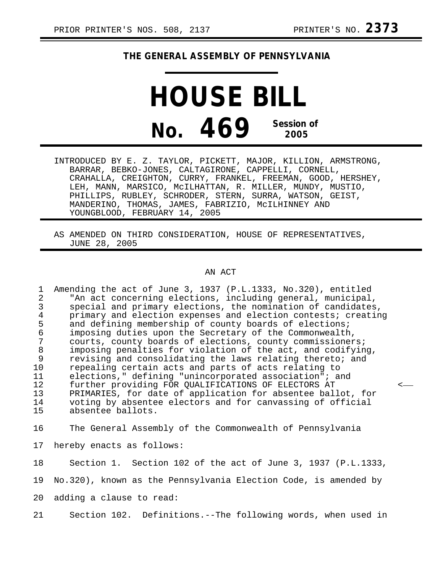## **THE GENERAL ASSEMBLY OF PENNSYLVANIA**

**HOUSE BILL No. 469 Session of 2005**

INTRODUCED BY E. Z. TAYLOR, PICKETT, MAJOR, KILLION, ARMSTRONG, BARRAR, BEBKO-JONES, CALTAGIRONE, CAPPELLI, CORNELL, CRAHALLA, CREIGHTON, CURRY, FRANKEL, FREEMAN, GOOD, HERSHEY, LEH, MANN, MARSICO, McILHATTAN, R. MILLER, MUNDY, MUSTIO, PHILLIPS, RUBLEY, SCHRODER, STERN, SURRA, WATSON, GEIST, MANDERINO, THOMAS, JAMES, FABRIZIO, McILHINNEY AND YOUNGBLOOD, FEBRUARY 14, 2005

AS AMENDED ON THIRD CONSIDERATION, HOUSE OF REPRESENTATIVES, JUNE 28, 2005

## AN ACT

1 Amending the act of June 3, 1937 (P.L.1333, No.320), entitled 2 "An act concerning elections, including general, municipal, 3 special and primary elections, the nomination of candidates,<br>4 orimary and election expenses and election contests; creatin 4 primary and election expenses and election contests; creating<br>5 and defining membership of county boards of elections; 5 and defining membership of county boards of elections;<br>6 imposing duties upon the Secretary of the Commonwealth 6 imposing duties upon the Secretary of the Commonwealth, 7 courts, county boards of elections, county commissioners;<br>8 imposing penalties for violation of the act, and codifyin 8 imposing penalties for violation of the act, and codifying,<br>9 revising and consolidating the laws relating thereto; and erative original revising and consolidating the laws relating thereto; and repealing certain acts and parts of acts relating to repealing certain acts and parts of acts relating to 11 elections," defining "unincorporated association"; and<br>12 further providing FOR OUALIFICATIONS OF ELECTORS AT 12 further providing FOR QUALIFICATIONS OF ELECTORS AT 13 PRIMARIES, for date of application for absentee ball 13 PRIMARIES, for date of application for absentee ballot, for<br>14 voting by absentee electors and for canvassing of official 14 voting by absentee electors and for canvassing of official<br>15 absentee ballots. absentee ballots.

16 The General Assembly of the Commonwealth of Pennsylvania

17 hereby enacts as follows:

18 Section 1. Section 102 of the act of June 3, 1937 (P.L.1333, 19 No.320), known as the Pennsylvania Election Code, is amended by

20 adding a clause to read:

21 Section 102. Definitions.--The following words, when used in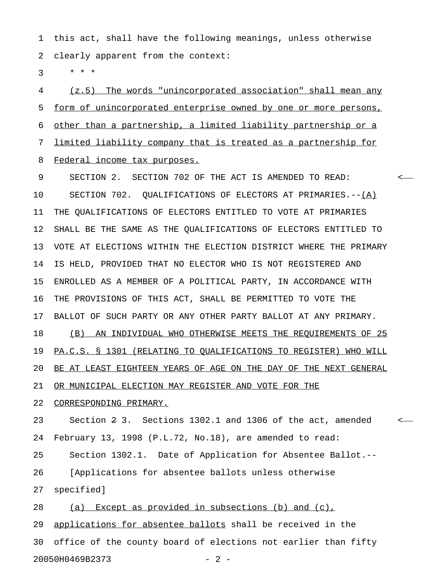1 this act, shall have the following meanings, unless otherwise 2 clearly apparent from the context:

 $3 * * * *$ 

4 (z.5) The words "unincorporated association" shall mean any 5 form of unincorporated enterprise owned by one or more persons, 6 other than a partnership, a limited liability partnership or a 7 limited liability company that is treated as a partnership for 8 Federal income tax purposes.

9 SECTION 2. SECTION 702 OF THE ACT IS AMENDED TO READ: < 10 SECTION 702. QUALIFICATIONS OF ELECTORS AT PRIMARIES.--(A) 11 THE QUALIFICATIONS OF ELECTORS ENTITLED TO VOTE AT PRIMARIES 12 SHALL BE THE SAME AS THE QUALIFICATIONS OF ELECTORS ENTITLED TO 13 VOTE AT ELECTIONS WITHIN THE ELECTION DISTRICT WHERE THE PRIMARY 14 IS HELD, PROVIDED THAT NO ELECTOR WHO IS NOT REGISTERED AND 15 ENROLLED AS A MEMBER OF A POLITICAL PARTY, IN ACCORDANCE WITH 16 THE PROVISIONS OF THIS ACT, SHALL BE PERMITTED TO VOTE THE 17 BALLOT OF SUCH PARTY OR ANY OTHER PARTY BALLOT AT ANY PRIMARY. 18 (B) AN INDIVIDUAL WHO OTHERWISE MEETS THE REQUIREMENTS OF 25 19 PA.C.S. § 1301 (RELATING TO QUALIFICATIONS TO REGISTER) WHO WILL 20 BE AT LEAST EIGHTEEN YEARS OF AGE ON THE DAY OF THE NEXT GENERAL 21 OR MUNICIPAL ELECTION MAY REGISTER AND VOTE FOR THE 22 CORRESPONDING PRIMARY. 23 Section 2 3. Sections 1302.1 and 1306 of the act, amended <

24 February 13, 1998 (P.L.72, No.18), are amended to read:

25 Section 1302.1. Date of Application for Absentee Ballot.--

26 [Applications for absentee ballots unless otherwise

27 specified]

28 (a) Except as provided in subsections (b) and (c), 29 applications for absentee ballots shall be received in the 30 office of the county board of elections not earlier than fifty 20050H0469B2373 - 2 -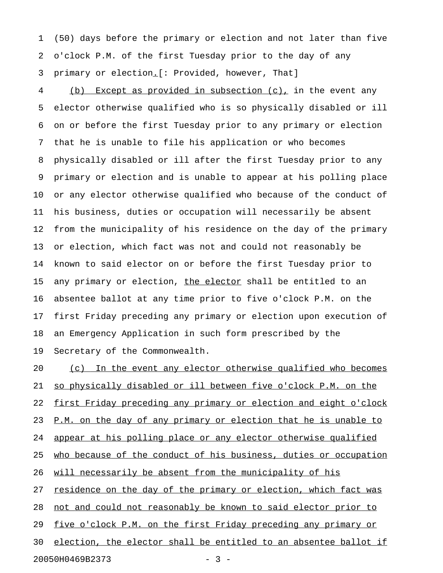1 (50) days before the primary or election and not later than five 2 o'clock P.M. of the first Tuesday prior to the day of any 3 primary or election<sub>-</sub>[: Provided, however, That]

4 (b) Except as provided in subsection (c), in the event any 5 elector otherwise qualified who is so physically disabled or ill 6 on or before the first Tuesday prior to any primary or election 7 that he is unable to file his application or who becomes 8 physically disabled or ill after the first Tuesday prior to any 9 primary or election and is unable to appear at his polling place 10 or any elector otherwise qualified who because of the conduct of 11 his business, duties or occupation will necessarily be absent 12 from the municipality of his residence on the day of the primary 13 or election, which fact was not and could not reasonably be 14 known to said elector on or before the first Tuesday prior to 15 any primary or election, the elector shall be entitled to an 16 absentee ballot at any time prior to five o'clock P.M. on the 17 first Friday preceding any primary or election upon execution of 18 an Emergency Application in such form prescribed by the 19 Secretary of the Commonwealth.

20 (c) In the event any elector otherwise qualified who becomes 21 so physically disabled or ill between five o'clock P.M. on the 22 first Friday preceding any primary or election and eight o'clock 23 P.M. on the day of any primary or election that he is unable to 24 appear at his polling place or any elector otherwise qualified 25 who because of the conduct of his business, duties or occupation 26 will necessarily be absent from the municipality of his 27 residence on the day of the primary or election, which fact was 28 not and could not reasonably be known to said elector prior to 29 five o'clock P.M. on the first Friday preceding any primary or 30 election, the elector shall be entitled to an absentee ballot if

20050H0469B2373 - 3 -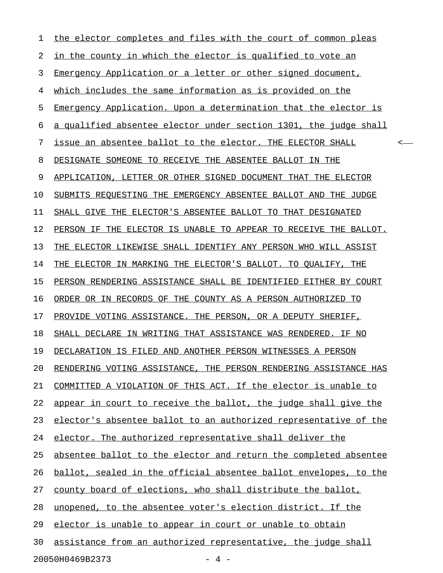| 1                        | the elector completes and files with the court of common pleas   |
|--------------------------|------------------------------------------------------------------|
| $\overline{2}$           | in the county in which the elector is qualified to vote an       |
| 3                        | Emergency Application or a letter or other signed document,      |
| 4                        | which includes the same information as is provided on the        |
| 5                        | Emergency Application. Upon a determination that the elector is  |
| 6                        | a qualified absentee elector under section 1301, the judge shall |
| 7                        | issue an absentee ballot to the elector. THE ELECTOR SHALL       |
| 8                        | DESIGNATE SOMEONE TO RECEIVE THE ABSENTEE BALLOT IN THE          |
| 9                        | APPLICATION, LETTER OR OTHER SIGNED DOCUMENT THAT THE ELECTOR    |
| 10                       | SUBMITS REQUESTING THE EMERGENCY ABSENTEE BALLOT AND THE JUDGE   |
| 11                       | SHALL GIVE THE ELECTOR'S ABSENTEE BALLOT TO THAT DESIGNATED      |
| 12                       | PERSON IF THE ELECTOR IS UNABLE TO APPEAR TO RECEIVE THE BALLOT. |
| 13                       | THE ELECTOR LIKEWISE SHALL IDENTIFY ANY PERSON WHO WILL ASSIST   |
| 14                       | THE ELECTOR IN MARKING THE ELECTOR'S BALLOT. TO QUALIFY, THE     |
| 15                       | PERSON RENDERING ASSISTANCE SHALL BE IDENTIFIED EITHER BY COURT  |
| 16                       | ORDER OR IN RECORDS OF THE COUNTY AS A PERSON AUTHORIZED TO      |
| 17                       | PROVIDE VOTING ASSISTANCE. THE PERSON, OR A DEPUTY SHERIFF,      |
| 18                       | SHALL DECLARE IN WRITING THAT ASSISTANCE WAS RENDERED. IF NO     |
| 19                       | DECLARATION IS FILED AND ANOTHER PERSON WITNESSES A PERSON       |
| 20                       | RENDERING VOTING ASSISTANCE, THE PERSON RENDERING ASSISTANCE HAS |
| 21                       | COMMITTED A VIOLATION OF THIS ACT. If the elector is unable to   |
| 22                       | appear in court to receive the ballot, the judge shall give the  |
| 23                       | elector's absentee ballot to an authorized representative of the |
| 24                       | elector. The authorized representative shall deliver the         |
| 25                       | absentee ballot to the elector and return the completed absentee |
| 26                       | ballot, sealed in the official absentee ballot envelopes, to the |
| 27                       | county board of elections, who shall distribute the ballot,      |
| 28                       | unopened, to the absentee voter's election district. If the      |
| 29                       | elector is unable to appear in court or unable to obtain         |
| 30                       | assistance from an authorized representative, the judge shall    |
| 20050H0469B2373<br>$-4-$ |                                                                  |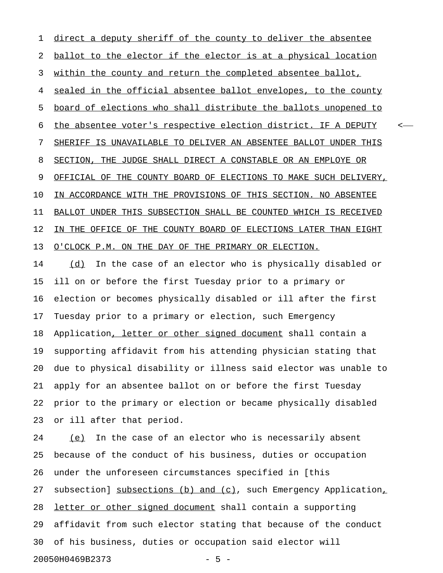1 direct a deputy sheriff of the county to deliver the absentee 2 ballot to the elector if the elector is at a physical location 3 within the county and return the completed absentee ballot, 4 sealed in the official absentee ballot envelopes, to the county 5 board of elections who shall distribute the ballots unopened to 6 the absentee voter's respective election district. IF A DEPUTY  $\sim$ 7 SHERIFF IS UNAVAILABLE TO DELIVER AN ABSENTEE BALLOT UNDER THIS 8 SECTION, THE JUDGE SHALL DIRECT A CONSTABLE OR AN EMPLOYE OR 9 OFFICIAL OF THE COUNTY BOARD OF ELECTIONS TO MAKE SUCH DELIVERY, 10 IN ACCORDANCE WITH THE PROVISIONS OF THIS SECTION. NO ABSENTEE 11 BALLOT UNDER THIS SUBSECTION SHALL BE COUNTED WHICH IS RECEIVED 12 IN THE OFFICE OF THE COUNTY BOARD OF ELECTIONS LATER THAN EIGHT 13 O'CLOCK P.M. ON THE DAY OF THE PRIMARY OR ELECTION.

14 (d) In the case of an elector who is physically disabled or 15 ill on or before the first Tuesday prior to a primary or 16 election or becomes physically disabled or ill after the first 17 Tuesday prior to a primary or election, such Emergency 18 Application, letter or other signed document shall contain a 19 supporting affidavit from his attending physician stating that 20 due to physical disability or illness said elector was unable to 21 apply for an absentee ballot on or before the first Tuesday 22 prior to the primary or election or became physically disabled 23 or ill after that period.

24 (e) In the case of an elector who is necessarily absent 25 because of the conduct of his business, duties or occupation 26 under the unforeseen circumstances specified in [this 27 subsection] subsections (b) and (c), such Emergency Application, 28 letter or other signed document shall contain a supporting 29 affidavit from such elector stating that because of the conduct 30 of his business, duties or occupation said elector will 20050H0469B2373 - 5 -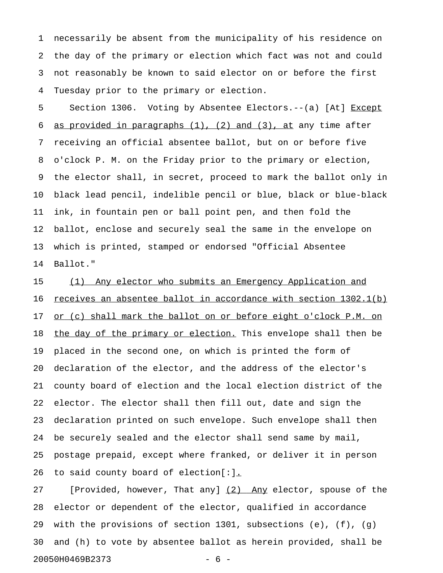1 necessarily be absent from the municipality of his residence on 2 the day of the primary or election which fact was not and could 3 not reasonably be known to said elector on or before the first 4 Tuesday prior to the primary or election.

5 Section 1306. Voting by Absentee Electors.--(a) [At] Except 6 as provided in paragraphs  $(1)$ ,  $(2)$  and  $(3)$ , at any time after 7 receiving an official absentee ballot, but on or before five 8 o'clock P. M. on the Friday prior to the primary or election, 9 the elector shall, in secret, proceed to mark the ballot only in 10 black lead pencil, indelible pencil or blue, black or blue-black 11 ink, in fountain pen or ball point pen, and then fold the 12 ballot, enclose and securely seal the same in the envelope on 13 which is printed, stamped or endorsed "Official Absentee 14 Ballot."

15 (1) Any elector who submits an Emergency Application and 16 receives an absentee ballot in accordance with section  $1302.1(b)$ 17 or (c) shall mark the ballot on or before eight o'clock P.M. on 18 the day of the primary or election. This envelope shall then be 19 placed in the second one, on which is printed the form of 20 declaration of the elector, and the address of the elector's 21 county board of election and the local election district of the 22 elector. The elector shall then fill out, date and sign the 23 declaration printed on such envelope. Such envelope shall then 24 be securely sealed and the elector shall send same by mail, 25 postage prepaid, except where franked, or deliver it in person 26 to said county board of election[:].

27 [Provided, however, That any] (2) Any elector, spouse of the 28 elector or dependent of the elector, qualified in accordance 29 with the provisions of section 1301, subsections (e), (f), (g) 30 and (h) to vote by absentee ballot as herein provided, shall be 20050H0469B2373 - 6 -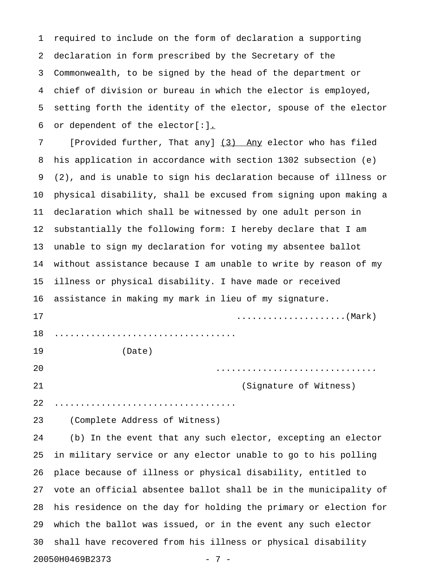1 required to include on the form of declaration a supporting 2 declaration in form prescribed by the Secretary of the 3 Commonwealth, to be signed by the head of the department or 4 chief of division or bureau in which the elector is employed, 5 setting forth the identity of the elector, spouse of the elector 6 or dependent of the elector[:].

7 [Provided further, That any] (3) Any elector who has filed 8 his application in accordance with section 1302 subsection (e) 9 (2), and is unable to sign his declaration because of illness or 10 physical disability, shall be excused from signing upon making a 11 declaration which shall be witnessed by one adult person in 12 substantially the following form: I hereby declare that I am 13 unable to sign my declaration for voting my absentee ballot 14 without assistance because I am unable to write by reason of my 15 illness or physical disability. I have made or received 16 assistance in making my mark in lieu of my signature. 17 .....................(Mark) 18 ................................... 19 (Date) 20 ............................... 21 (Signature of Witness)

23 (Complete Address of Witness)

22 ...................................

24 (b) In the event that any such elector, excepting an elector 25 in military service or any elector unable to go to his polling 26 place because of illness or physical disability, entitled to 27 vote an official absentee ballot shall be in the municipality of 28 his residence on the day for holding the primary or election for 29 which the ballot was issued, or in the event any such elector 30 shall have recovered from his illness or physical disability 20050H0469B2373 - 7 -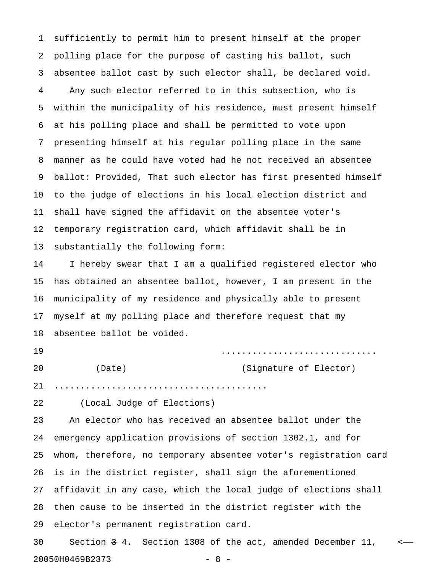1 sufficiently to permit him to present himself at the proper 2 polling place for the purpose of casting his ballot, such 3 absentee ballot cast by such elector shall, be declared void. 4 Any such elector referred to in this subsection, who is 5 within the municipality of his residence, must present himself 6 at his polling place and shall be permitted to vote upon 7 presenting himself at his regular polling place in the same 8 manner as he could have voted had he not received an absentee 9 ballot: Provided, That such elector has first presented himself 10 to the judge of elections in his local election district and 11 shall have signed the affidavit on the absentee voter's 12 temporary registration card, which affidavit shall be in 13 substantially the following form:

14 I hereby swear that I am a qualified registered elector who 15 has obtained an absentee ballot, however, I am present in the 16 municipality of my residence and physically able to present 17 myself at my polling place and therefore request that my 18 absentee ballot be voided.

19 .............................. 20 (Date) (Signature of Elector)

21 .........................................

22 (Local Judge of Elections)

23 An elector who has received an absentee ballot under the 24 emergency application provisions of section 1302.1, and for 25 whom, therefore, no temporary absentee voter's registration card 26 is in the district register, shall sign the aforementioned 27 affidavit in any case, which the local judge of elections shall 28 then cause to be inserted in the district register with the 29 elector's permanent registration card.

30 Section 3 4. Section 1308 of the act, amended December 11, < 20050H0469B2373 - 8 -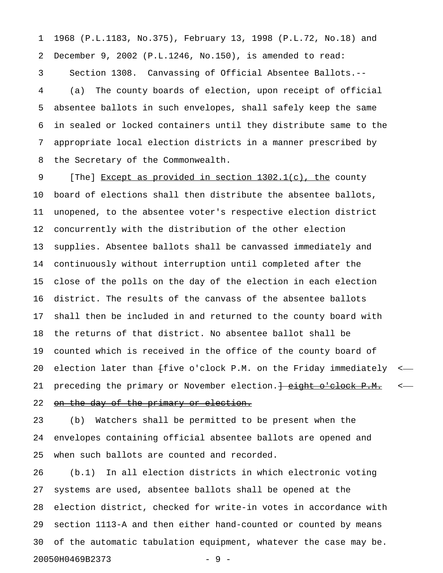1 1968 (P.L.1183, No.375), February 13, 1998 (P.L.72, No.18) and 2 December 9, 2002 (P.L.1246, No.150), is amended to read: 3 Section 1308. Canvassing of Official Absentee Ballots.-- 4 (a) The county boards of election, upon receipt of official 5 absentee ballots in such envelopes, shall safely keep the same 6 in sealed or locked containers until they distribute same to the 7 appropriate local election districts in a manner prescribed by 8 the Secretary of the Commonwealth.

9 [The] Except as provided in section 1302.1(c), the county 10 board of elections shall then distribute the absentee ballots, 11 unopened, to the absentee voter's respective election district 12 concurrently with the distribution of the other election 13 supplies. Absentee ballots shall be canvassed immediately and 14 continuously without interruption until completed after the 15 close of the polls on the day of the election in each election 16 district. The results of the canvass of the absentee ballots 17 shall then be included in and returned to the county board with 18 the returns of that district. No absentee ballot shall be 19 counted which is received in the office of the county board of 20 election later than  $f$ ive o'clock P.M. on the Friday immediately <-21 preceding the primary or November election. Height o'clock P.M. <-

## 22 on the day of the primary or election.

23 (b) Watchers shall be permitted to be present when the 24 envelopes containing official absentee ballots are opened and 25 when such ballots are counted and recorded.

26 (b.1) In all election districts in which electronic voting 27 systems are used, absentee ballots shall be opened at the 28 election district, checked for write-in votes in accordance with 29 section 1113-A and then either hand-counted or counted by means 30 of the automatic tabulation equipment, whatever the case may be. 20050H0469B2373 - 9 -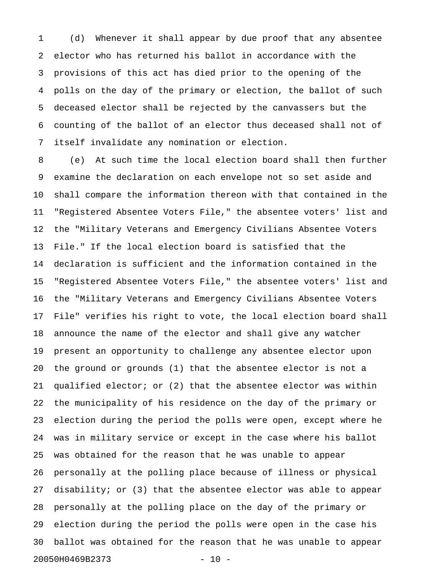1 (d) Whenever it shall appear by due proof that any absentee 2 elector who has returned his ballot in accordance with the 3 provisions of this act has died prior to the opening of the 4 polls on the day of the primary or election, the ballot of such 5 deceased elector shall be rejected by the canvassers but the 6 counting of the ballot of an elector thus deceased shall not of 7 itself invalidate any nomination or election.

8 (e) At such time the local election board shall then further 9 examine the declaration on each envelope not so set aside and 10 shall compare the information thereon with that contained in the 11 "Registered Absentee Voters File," the absentee voters' list and 12 the "Military Veterans and Emergency Civilians Absentee Voters 13 File." If the local election board is satisfied that the 14 declaration is sufficient and the information contained in the 15 "Registered Absentee Voters File," the absentee voters' list and 16 the "Military Veterans and Emergency Civilians Absentee Voters 17 File" verifies his right to vote, the local election board shall 18 announce the name of the elector and shall give any watcher 19 present an opportunity to challenge any absentee elector upon 20 the ground or grounds (1) that the absentee elector is not a 21 qualified elector; or (2) that the absentee elector was within 22 the municipality of his residence on the day of the primary or 23 election during the period the polls were open, except where he 24 was in military service or except in the case where his ballot 25 was obtained for the reason that he was unable to appear 26 personally at the polling place because of illness or physical 27 disability; or (3) that the absentee elector was able to appear 28 personally at the polling place on the day of the primary or 29 election during the period the polls were open in the case his 30 ballot was obtained for the reason that he was unable to appear 20050H0469B2373 - 10 -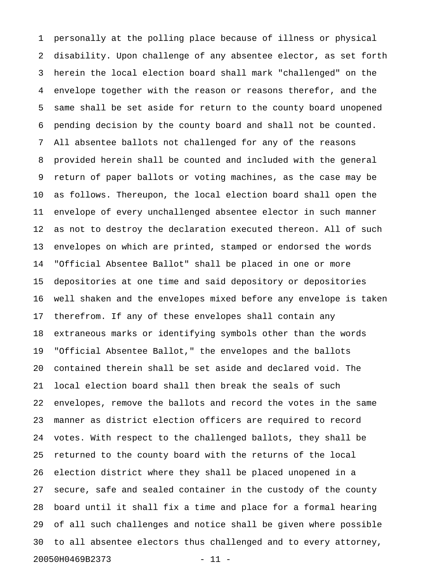1 personally at the polling place because of illness or physical 2 disability. Upon challenge of any absentee elector, as set forth 3 herein the local election board shall mark "challenged" on the 4 envelope together with the reason or reasons therefor, and the 5 same shall be set aside for return to the county board unopened 6 pending decision by the county board and shall not be counted. 7 All absentee ballots not challenged for any of the reasons 8 provided herein shall be counted and included with the general 9 return of paper ballots or voting machines, as the case may be 10 as follows. Thereupon, the local election board shall open the 11 envelope of every unchallenged absentee elector in such manner 12 as not to destroy the declaration executed thereon. All of such 13 envelopes on which are printed, stamped or endorsed the words 14 "Official Absentee Ballot" shall be placed in one or more 15 depositories at one time and said depository or depositories 16 well shaken and the envelopes mixed before any envelope is taken 17 therefrom. If any of these envelopes shall contain any 18 extraneous marks or identifying symbols other than the words 19 "Official Absentee Ballot," the envelopes and the ballots 20 contained therein shall be set aside and declared void. The 21 local election board shall then break the seals of such 22 envelopes, remove the ballots and record the votes in the same 23 manner as district election officers are required to record 24 votes. With respect to the challenged ballots, they shall be 25 returned to the county board with the returns of the local 26 election district where they shall be placed unopened in a 27 secure, safe and sealed container in the custody of the county 28 board until it shall fix a time and place for a formal hearing 29 of all such challenges and notice shall be given where possible 30 to all absentee electors thus challenged and to every attorney, 20050H0469B2373 - 11 -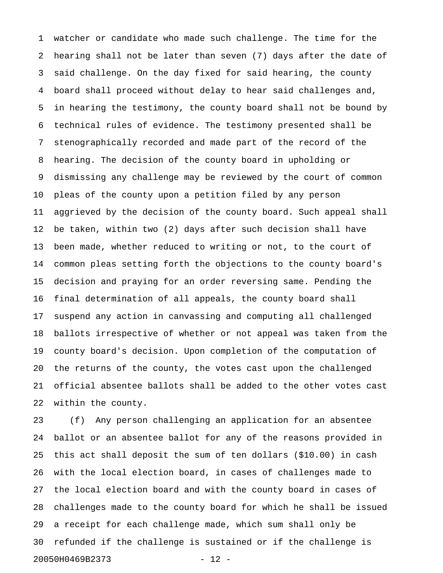1 watcher or candidate who made such challenge. The time for the 2 hearing shall not be later than seven (7) days after the date of 3 said challenge. On the day fixed for said hearing, the county 4 board shall proceed without delay to hear said challenges and, 5 in hearing the testimony, the county board shall not be bound by 6 technical rules of evidence. The testimony presented shall be 7 stenographically recorded and made part of the record of the 8 hearing. The decision of the county board in upholding or 9 dismissing any challenge may be reviewed by the court of common 10 pleas of the county upon a petition filed by any person 11 aggrieved by the decision of the county board. Such appeal shall 12 be taken, within two (2) days after such decision shall have 13 been made, whether reduced to writing or not, to the court of 14 common pleas setting forth the objections to the county board's 15 decision and praying for an order reversing same. Pending the 16 final determination of all appeals, the county board shall 17 suspend any action in canvassing and computing all challenged 18 ballots irrespective of whether or not appeal was taken from the 19 county board's decision. Upon completion of the computation of 20 the returns of the county, the votes cast upon the challenged 21 official absentee ballots shall be added to the other votes cast 22 within the county.

23 (f) Any person challenging an application for an absentee 24 ballot or an absentee ballot for any of the reasons provided in 25 this act shall deposit the sum of ten dollars (\$10.00) in cash 26 with the local election board, in cases of challenges made to 27 the local election board and with the county board in cases of 28 challenges made to the county board for which he shall be issued 29 a receipt for each challenge made, which sum shall only be 30 refunded if the challenge is sustained or if the challenge is 20050H0469B2373 - 12 -